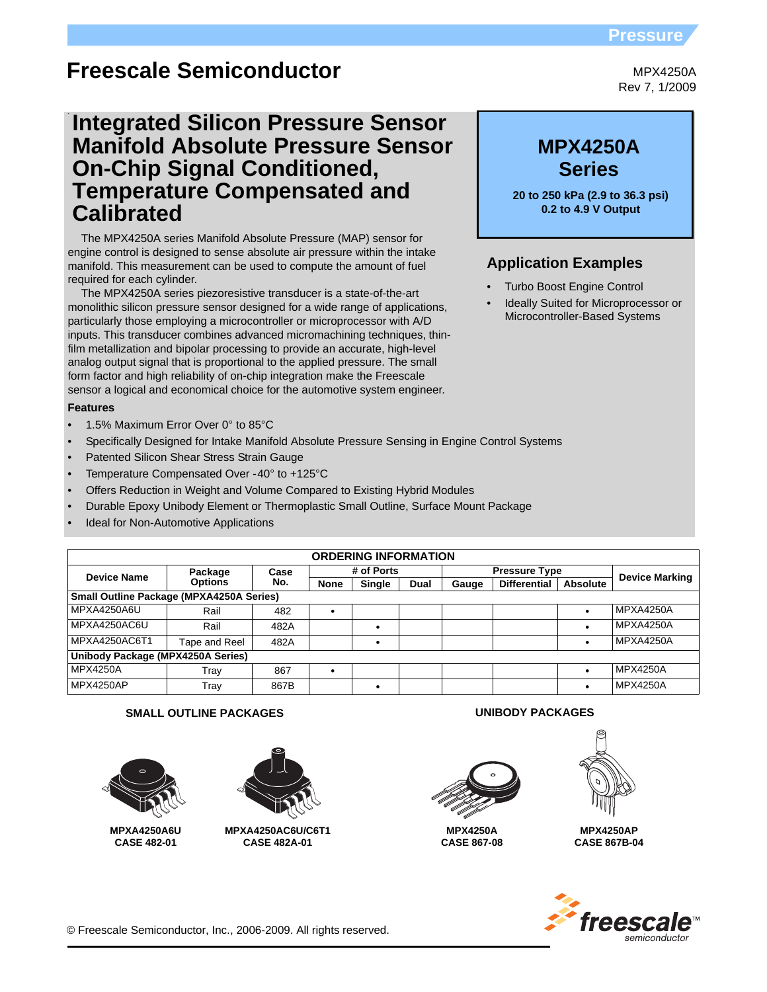# **Pressure**

# **Freescale Semiconductor**

**Integrated Silicon Pressure Sensor Manifold Absolute Pressure Sensor On-Chip Signal Conditioned, Temperature Compensated and Calibrated**

The MPX4250A series Manifold Absolute Pressure (MAP) sensor for engine control is designed to sense absolute air pressure within the intake manifold. This measurement can be used to compute the amount of fuel required for each cylinder.

The MPX4250A series piezoresistive transducer is a state-of-the-art monolithic silicon pressure sensor designed for a wide range of applications, particularly those employing a microcontroller or microprocessor with A/D inputs. This transducer combines advanced micromachining techniques, thinfilm metallization and bipolar processing to provide an accurate, high-level analog output signal that is proportional to the applied pressure. The small form factor and high reliability of on-chip integration make the Freescale sensor a logical and economical choice for the automotive system engineer.

#### **Features**

- 1.5% Maximum Error Over 0° to 85°C
- Specifically Designed for Intake Manifold Absolute Pressure Sensing in Engine Control Systems
- Patented Silicon Shear Stress Strain Gauge
- Temperature Compensated Over -40° to +125°C
- Offers Reduction in Weight and Volume Compared to Existing Hybrid Modules
- Durable Epoxy Unibody Element or Thermoplastic Small Outline, Surface Mount Package
- Ideal for Non-Automotive Applications

| <b>ORDERING INFORMATION</b>                     |                |             |             |               |                      |       |                     |                       |                 |
|-------------------------------------------------|----------------|-------------|-------------|---------------|----------------------|-------|---------------------|-----------------------|-----------------|
| <b>Device Name</b>                              | Package        | Case<br>No. | # of Ports  |               | <b>Pressure Type</b> |       |                     | <b>Device Marking</b> |                 |
|                                                 | <b>Options</b> |             | <b>None</b> | <b>Single</b> | Dual                 | Gauge | <b>Differential</b> | <b>Absolute</b>       |                 |
| <b>Small Outline Package (MPXA4250A Series)</b> |                |             |             |               |                      |       |                     |                       |                 |
| MPXA4250A6U                                     | Rail           | 482         |             |               |                      |       |                     |                       | MPXA4250A       |
| MPXA4250AC6U                                    | Rail           | 482A        |             |               |                      |       |                     |                       | MPXA4250A       |
| MPXA4250AC6T1                                   | Tape and Reel  | 482A        |             | ٠             |                      |       |                     |                       | MPXA4250A       |
| Unibody Package (MPX4250A Series)               |                |             |             |               |                      |       |                     |                       |                 |
| <b>MPX4250A</b>                                 | Trav           | 867         |             |               |                      |       |                     |                       | <b>MPX4250A</b> |
| MPX4250AP                                       | Trav           | 867B        |             |               |                      |       |                     |                       | MPX4250A        |

### **SMALL OUTLINE PACKAGES UNIBODY PACKAGES**



**CASE 482-01**



**MPXA4250AC6U/C6T1 CASE 482A-01**



**MPX4250A CASE 867-08**



**MPX4250AP CASE 867B-04**



MPX4250A Rev 7, 1/2009

# **Series MPX4250A**

**20 to 250 kPa (2.9 to 36.3 psi) 0.2 to 4.9 V Output** 

# **Application Examples**

- Turbo Boost Engine Control
- Ideally Suited for Microprocessor or Microcontroller-Based Systems

© Freescale Semiconductor, Inc., 2006-2009. All rights reserved.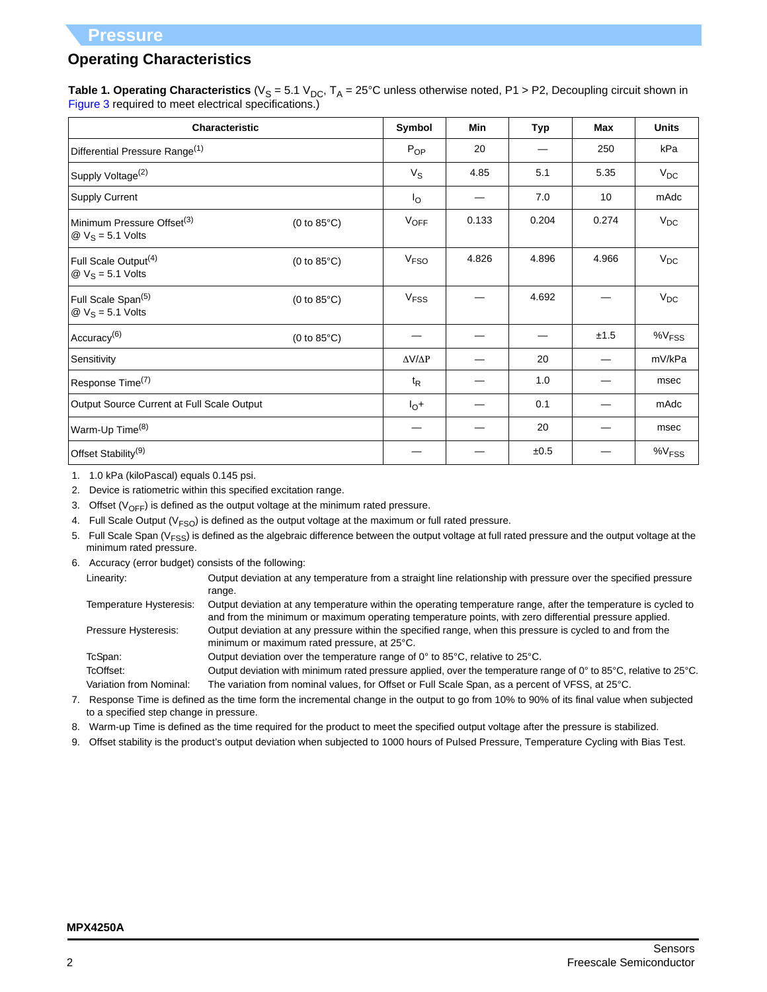# **Operating Characteristics**

**Table 1. Operating Characteristics** ( $V_S = 5.1 V_{DC}$ ,  $T_A = 25^{\circ}$ C unless otherwise noted, P1 > P2, Decoupling circuit shown in Figure 3 required to meet electrical specifications.)

| <b>Characteristic</b>                                                                  | Symbol                | Min                 | <b>Typ</b> | <b>Max</b> | <b>Units</b> |                      |
|----------------------------------------------------------------------------------------|-----------------------|---------------------|------------|------------|--------------|----------------------|
| Differential Pressure Range <sup>(1)</sup>                                             |                       | $P_{OP}$            | 20         |            | 250          | kPa                  |
| Supply Voltage <sup>(2)</sup>                                                          |                       | $V_S$               | 4.85       | 5.1        | 5.35         | $V_{DC}$             |
| Supply Current                                                                         |                       | Ιo                  |            | 7.0        | 10           | mAdc                 |
| Minimum Pressure Offset <sup>(3)</sup><br>$\textcircled{2}$ V <sub>S</sub> = 5.1 Volts | $(0 to 85^{\circ}C)$  | $V_{OFF}$           | 0.133      | 0.204      | 0.274        | $V_{DC}$             |
| Full Scale Output <sup>(4)</sup><br>$\textcircled{2}$ V <sub>S</sub> = 5.1 Volts       | $(0 to 85^{\circ}C)$  | V <sub>FSO</sub>    | 4.826      | 4.896      | 4.966        | $V_{DC}$             |
| Full Scale Span <sup>(5)</sup><br>$\textcircled{2}$ V <sub>S</sub> = 5.1 Volts         | (0 to $85^{\circ}$ C) | V <sub>FSS</sub>    |            | 4.692      |              | $V_{DC}$             |
| Accuracy <sup>(6)</sup>                                                                | $(0 to 85^{\circ}C)$  |                     |            |            | ±1.5         | $\%V$ <sub>FSS</sub> |
| Sensitivity                                                                            |                       | $\Delta V/\Delta P$ |            | 20         |              | mV/kPa               |
| Response Time <sup>(7)</sup>                                                           |                       | $t_{R}$             |            | 1.0        |              | msec                 |
| Output Source Current at Full Scale Output                                             |                       | $I_{\odot}$ +       |            | 0.1        |              | mAdc                 |
| Warm-Up Time <sup>(8)</sup>                                                            |                       |                     |            | 20         |              | msec                 |
| Offset Stability <sup>(9)</sup>                                                        |                       |                     |            | ±0.5       |              | $\%V$ <sub>FSS</sub> |

1. 1.0 kPa (kiloPascal) equals 0.145 psi.

2. Device is ratiometric within this specified excitation range.

3. Offset ( $V_{\text{OFF}}$ ) is defined as the output voltage at the minimum rated pressure.

- 4. Full Scale Output ( $V_{FSO}$ ) is defined as the output voltage at the maximum or full rated pressure.
- 5. Full Scale Span ( $V_{FSS}$ ) is defined as the algebraic difference between the output voltage at full rated pressure and the output voltage at the minimum rated pressure.
- 6. Accuracy (error budget) consists of the following:

Linearity: Output deviation at any temperature from a straight line relationship with pressure over the specified pressure range.

| Temperature Hysteresis: | Output deviation at any temperature within the operating temperature range, after the temperature is cycled to |
|-------------------------|----------------------------------------------------------------------------------------------------------------|
|                         | and from the minimum or maximum operating temperature points, with zero differential pressure applied.         |
| Pressure Hysteresis:    | Output deviation at any pressure within the specified range, when this pressure is cycled to and from the      |
|                         | minimum or maximum rated pressure, at 25°C.                                                                    |

TcSpan: Output deviation over the temperature range of 0° to 85°C, relative to 25°C.

TcOffset: Output deviation with minimum rated pressure applied, over the temperature range of 0° to 85°C, relative to 25°C. Variation from Nominal: The variation from nominal values, for Offset or Full Scale Span, as a percent of VFSS, at 25°C.

7. Response Time is defined as the time form the incremental change in the output to go from 10% to 90% of its final value when subjected to a specified step change in pressure.

8. Warm-up Time is defined as the time required for the product to meet the specified output voltage after the pressure is stabilized.

9. Offset stability is the product's output deviation when subjected to 1000 hours of Pulsed Pressure, Temperature Cycling with Bias Test.

### **MPX4250A**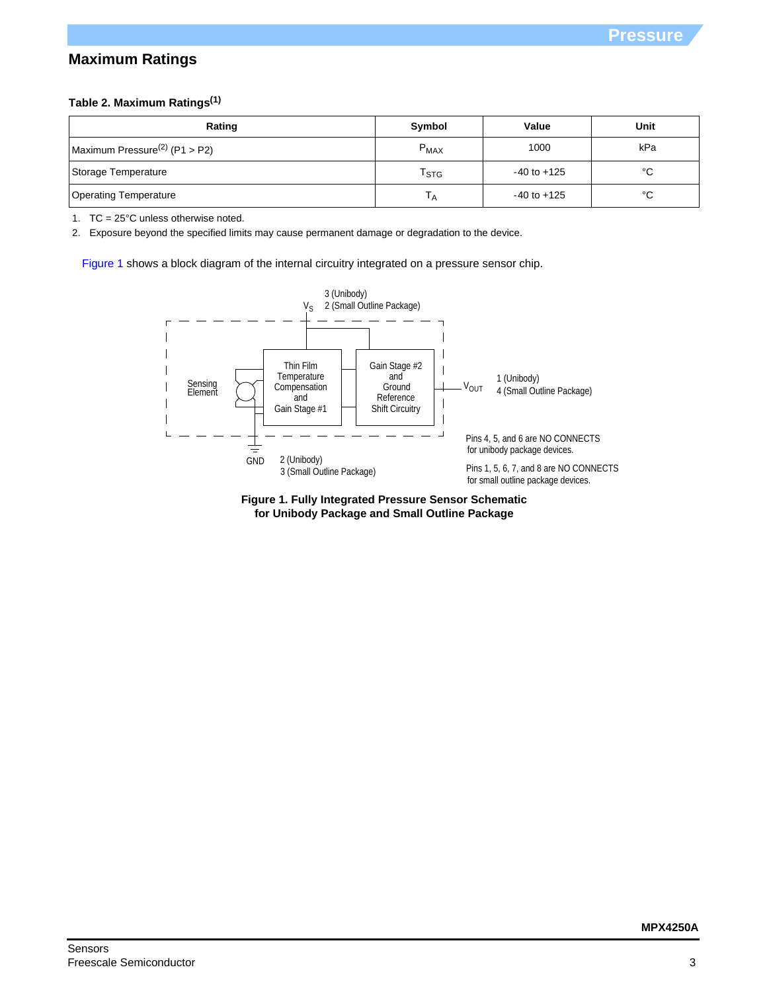# **Maximum Ratings**

## **Table 2. Maximum Ratings(1)**

| Rating                                    | Symbol                      | Value           | Unit |
|-------------------------------------------|-----------------------------|-----------------|------|
| Maximum Pressure <sup>(2)</sup> (P1 > P2) | $P_{MAX}$                   | 1000            | kPa  |
| Storage Temperature                       | $\mathsf{I}_{\mathsf{STG}}$ | $-40$ to $+125$ | °C   |
| <b>Operating Temperature</b>              |                             | $-40$ to $+125$ | °C   |

1. TC = 25°C unless otherwise noted.

2. Exposure beyond the specified limits may cause permanent damage or degradation to the device.

[Figure 1](#page-2-0) shows a block diagram of the internal circuitry integrated on a pressure sensor chip.



<span id="page-2-0"></span>**Figure 1. Fully Integrated Pressure Sensor Schematic for Unibody Package and Small Outline Package**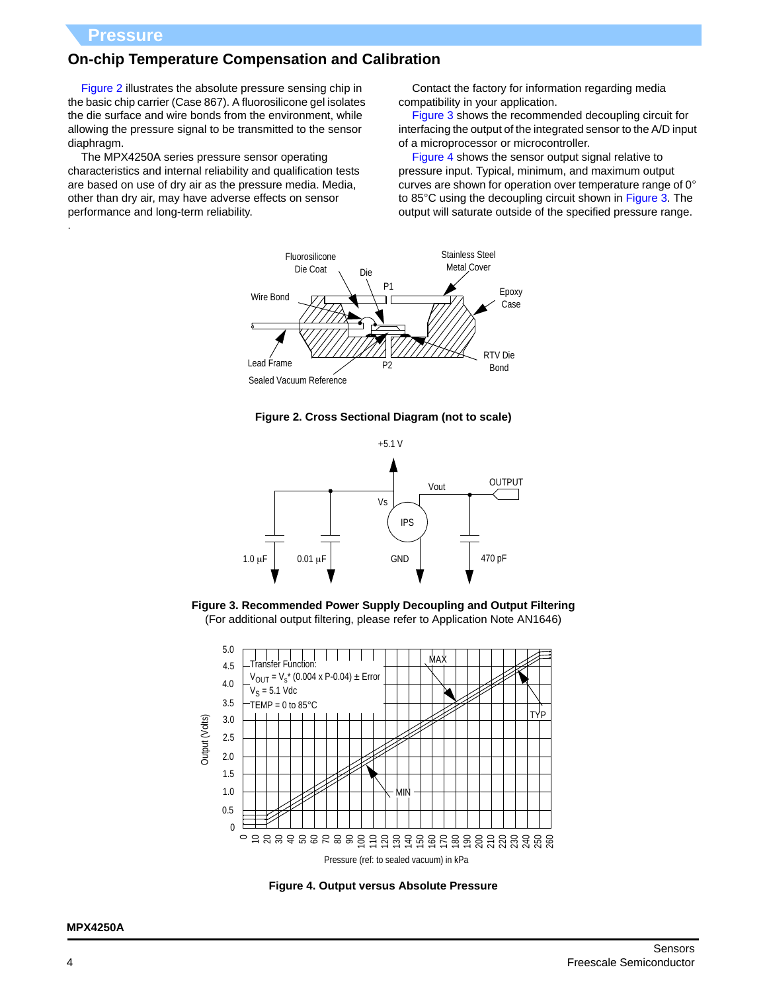.

# **On-chip Temperature Compensation and Calibration**

Figure 2 illustrates the absolute pressure sensing chip in the basic chip carrier (Case 867). A fluorosilicone gel isolates the die surface and wire bonds from the environment, while allowing the pressure signal to be transmitted to the sensor diaphragm.

The MPX4250A series pressure sensor operating characteristics and internal reliability and qualification tests are based on use of dry air as the pressure media. Media, other than dry air, may have adverse effects on sensor performance and long-term reliability.

Contact the factory for information regarding media compatibility in your application.

Figure 3 shows the recommended decoupling circuit for interfacing the output of the integrated sensor to the A/D input of a microprocessor or microcontroller.

Figure 4 shows the sensor output signal relative to pressure input. Typical, minimum, and maximum output curves are shown for operation over temperature range of 0° to 85°C using the decoupling circuit shown in Figure 3. The output will saturate outside of the specified pressure range.



**Figure 2. Cross Sectional Diagram (not to scale)**







**Figure 4. Output versus Absolute Pressure**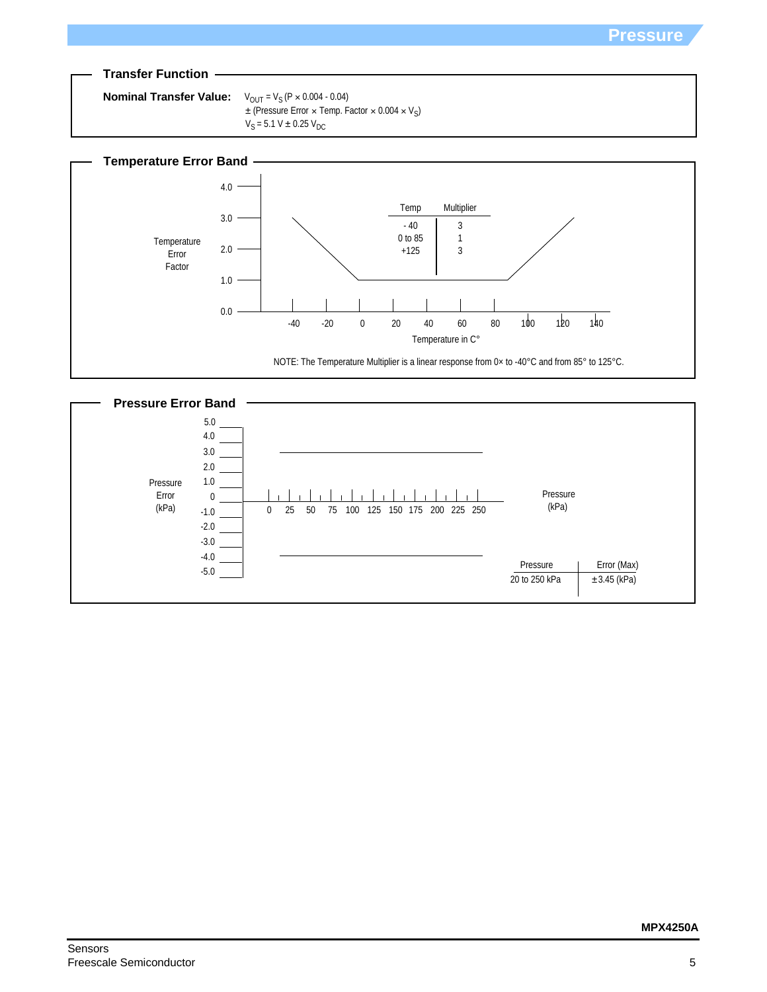



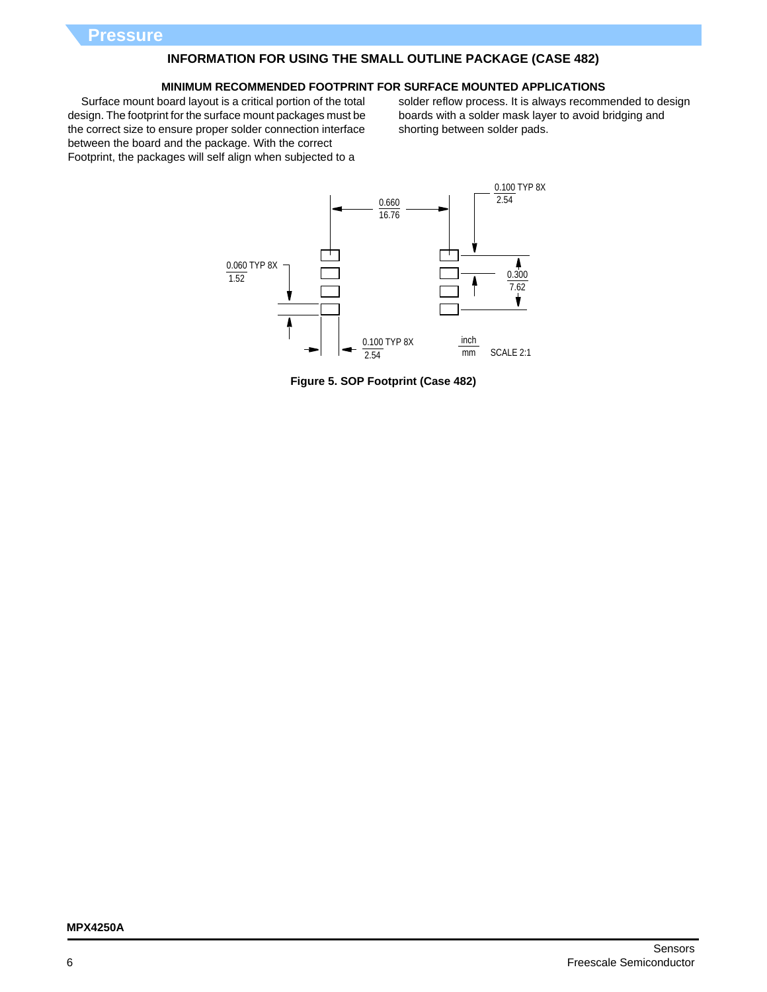# **INFORMATION FOR USING THE SMALL OUTLINE PACKAGE (CASE 482)**

#### **MINIMUM RECOMMENDED FOOTPRINT FOR SURFACE MOUNTED APPLICATIONS**

Surface mount board layout is a critical portion of the total design. The footprint for the surface mount packages must be the correct size to ensure proper solder connection interface between the board and the package. With the correct Footprint, the packages will self align when subjected to a

solder reflow process. It is always recommended to design boards with a solder mask layer to avoid bridging and shorting between solder pads.



**Figure 5. SOP Footprint (Case 482)**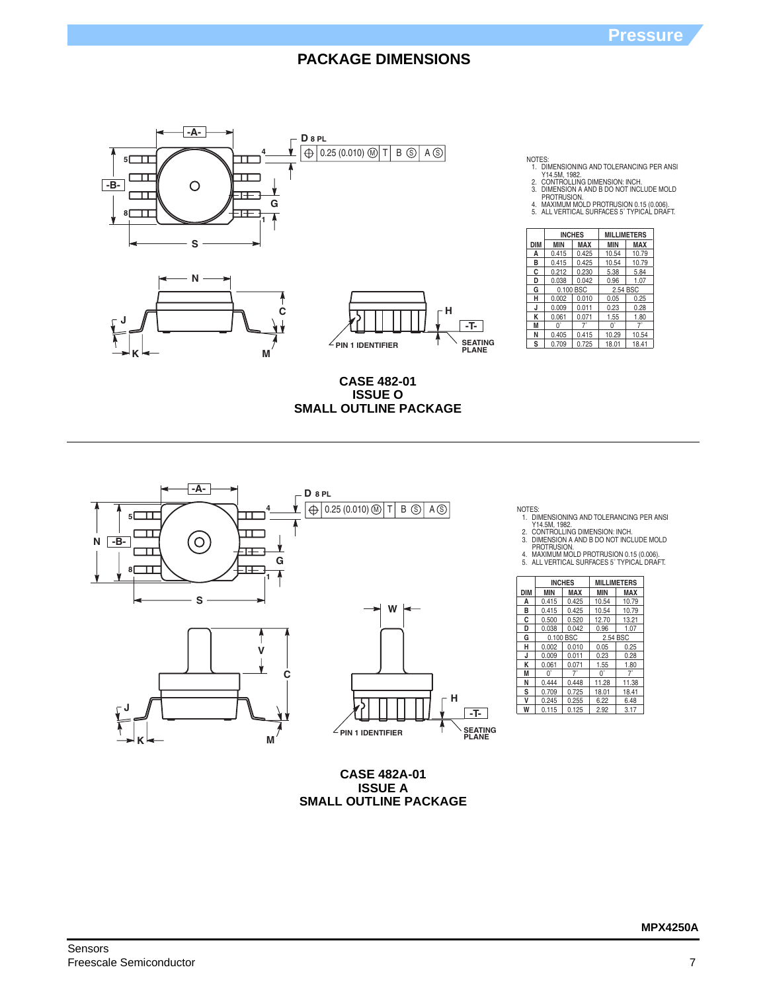

- NOTES:<br>1. DIMENSIONING AND TOLERANCING PER ANSI<br>2. CONTROLLING DIMENSION: INCH.<br>3. DIMENSION A AND B DO NOT INCLUDE MOLD<br>PROTRUSION.<br>4. MAXIMUM MOLD PROTRUSION 0.15 (0.006).<br>5. ALL VERTICAL SURFACES 5 TYPICAL DRAFT.
- 
- 
- 

|     |            | <b>INCHES</b> | <b>MILLIMETERS</b> |            |  |
|-----|------------|---------------|--------------------|------------|--|
| DIM | <b>MIN</b> | MAX           | <b>MIN</b>         | <b>MAX</b> |  |
| А   | 0.415      | 0.425         | 10.54              | 10.79      |  |
| в   | 0.415      | 0.425         | 10.54              | 10.79      |  |
| C   | 0.212      | 0.230         | 5.38               | 5.84       |  |
| D   | 0.038      | 0.042         | 0.96               | 1.07       |  |
| G   |            | 0.100 BSC     | 2.54 BSC           |            |  |
| н   | 0.002      | 0.010         | 0.05               | 0.25       |  |
| J   | 0.009      | 0.011         | 0.23               | 0.28       |  |
| κ   | 0.061      | 0.071         | 1.55               | 1.80       |  |
| M   | 0,         | $7^{\circ}$   | 0°                 | 7°         |  |
| N   | 0.405      | 0.415         | 10.29              | 10.54      |  |
| S   | 0.709      | 0.725         | 18.01              | 18.41      |  |

**CASE 482-01 ISSUE O SMALL OUTLINE PACKAGE**



**CASE 482A-01 ISSUE A SMALL OUTLINE PACKAGE**

NOTES:<br>1. DIMENSIONING AND TOLERANCING PER ANSI<br>2. CONTROLLING DIMENSION: INCH.<br>3. DIMENSION A AND B DO NOT INCLUDE MOLD<br>PROTRUSION.<br>4. MAXIMUM MOLD PROTRUSION 0.15 (0.006).<br>5. ALL VERTICAL SURFACES 5`TYPICAL DRAFT.

|            |            | <b>INCHES</b> | <b>MILLIMETERS</b> |            |  |
|------------|------------|---------------|--------------------|------------|--|
| <b>DIM</b> | <b>MIN</b> | MAX           | <b>MIN</b>         | <b>MAX</b> |  |
| A          | 0.415      | 0.425         | 10.54              | 10.79      |  |
| B          | 0.415      | 0.425         | 10.54              | 10.79      |  |
| C          | 0.500      | 0.520         | 12.70              | 13.21      |  |
| D          | 0.038      | 0.042         | 0.96               | 1.07       |  |
| G          |            | 0.100 BSC     | 2.54 BSC           |            |  |
| н          | 0.002      | 0.010         | 0.05               | 0.25       |  |
| J          | 0.009      | 0.011         | 0.23               | 0.28       |  |
| K          | 0.061      | 0.071         | 1.55               | 1.80       |  |
| М          | 0°         | 7°            | 0°                 | 7°         |  |
| N          | 0.444      | 0.448         | 11.28              | 11.38      |  |
| s          | 0.709      | 0.725         | 18.01              | 18.41      |  |
| ٧          | 0.245      | 0.255         | 6.22               | 6.48       |  |
| W          | 0.115      | 0.125         | 2.92               | 3.17       |  |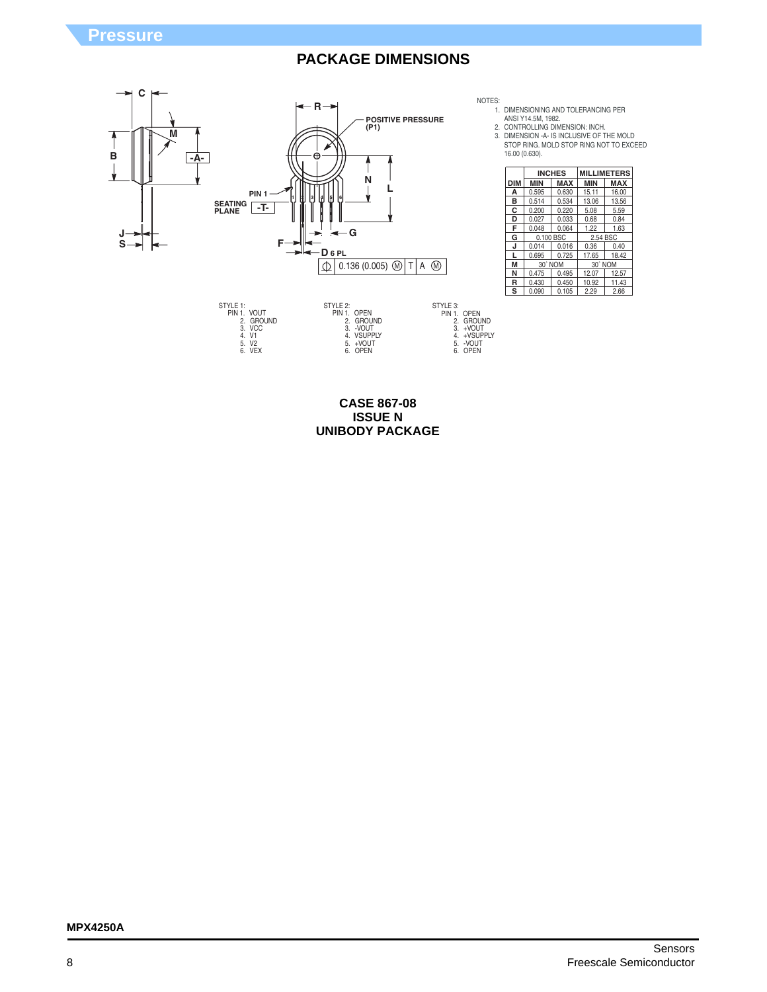

STYLE 1:<br>
PIN 1. VOUT<br>
2. GROUND<br>
3. VCC<br>
4. V1<br>
5. V2<br>
6. VEX STYLE 3: PIN 1. OPEN 2. GROUND 3. +VOUT 4. +VSUPPLY 5. -VOUT 6. OPEN STYLE 2: PIN 1. OPEN 2. GROUND 3. -VOUT 4. VSUPPLY 5. +VOUT 6. OPEN

NOTES:

1. DIMENSIONING AND TOLERANCING PER ANSI Y14.5M, 1982. CONTROLLING DIMENSION: INCH.

2.

3. DIMENSION -A- IS INCLUSIVE OF THE MOLD STOP RING. MOLD STOP RING NOT TO EXCEED 16.00 (0.630).

|     |            | <b>INCHES</b> |            | <b>MILLIMETERS</b> |  |
|-----|------------|---------------|------------|--------------------|--|
| DIM | <b>MIN</b> | <b>MAX</b>    | <b>MIN</b> | <b>MAX</b>         |  |
| A   | 0.595      | 0.630         | 15.11      | 16.00              |  |
| в   | 0.514      | 0.534         | 13.06      | 13.56              |  |
| c   | 0.200      | 0.220         | 5.08       | 5.59               |  |
| D   | 0.027      | 0.033         | 0.68       | 0.84               |  |
| F   | 0.048      | 0.064         | 1.22       | 1.63               |  |
| G   | 0.100 BSC  |               | 2.54 BSC   |                    |  |
| J   | 0.014      | 0.016         | 0.36       | 0.40               |  |
|     | 0.695      | 0.725         | 17.65      | 18.42              |  |
| M   | 30° NOM    |               | 30° NOM    |                    |  |
| N   | 0.475      | 0.495         | 12.07      | 12.57              |  |
| R   | 0.430      | 0.450         | 10.92      | 11.43              |  |
| S   | 0.090      | 0.105         | 2.29       | 2.66               |  |

**CASE 867-08 ISSUE N UNIBODY PACKAGE**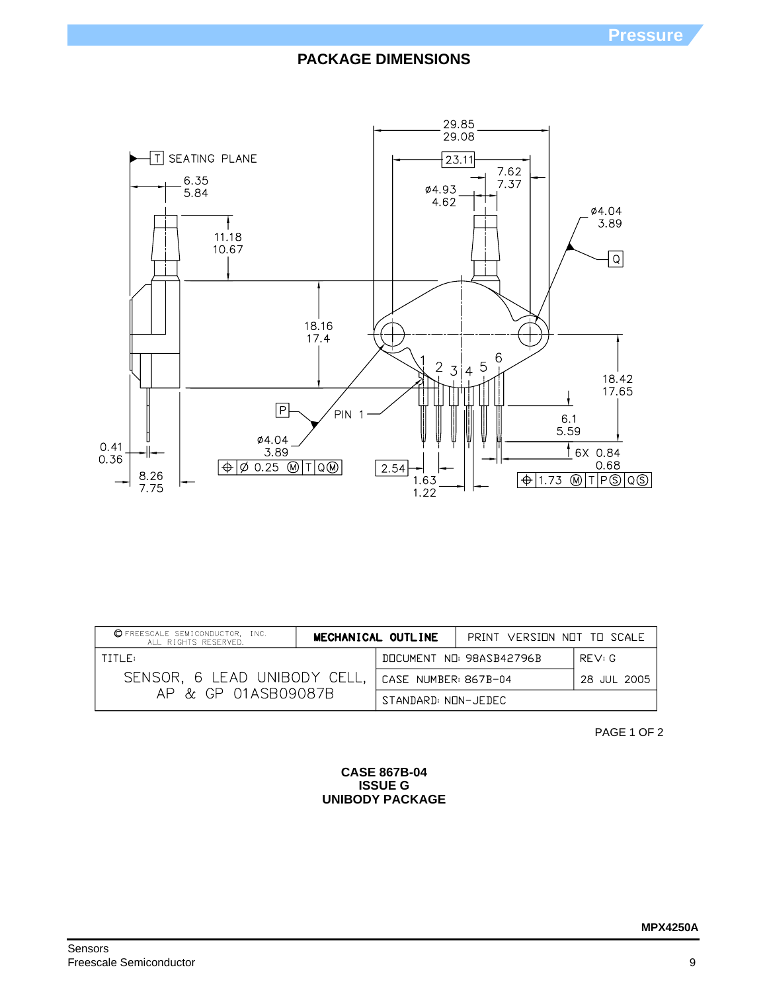

| <b>OFREESCALE SEMICONDUCTOR, INC.</b><br>ALL RIGHTS RESERVED. | MECHANICAL OUTLINE                  | PRINT VERSINN NNT TH SCALE |  |
|---------------------------------------------------------------|-------------------------------------|----------------------------|--|
| TITLE:                                                        | DOCUMENT NO: 98ASB42796B<br>RFV:G   |                            |  |
| SENSOR, 6 LEAD UNIBODY CELL,                                  | CASE NUMBER: 867B-04<br>28 JUL 2005 |                            |  |
| AP & GP 01ASB09087B                                           | STANDARD: NON-JEDEC                 |                            |  |

PAGE 1 OF 2

### **CASE 867B-04 ISSUE G UNIBODY PACKAGE**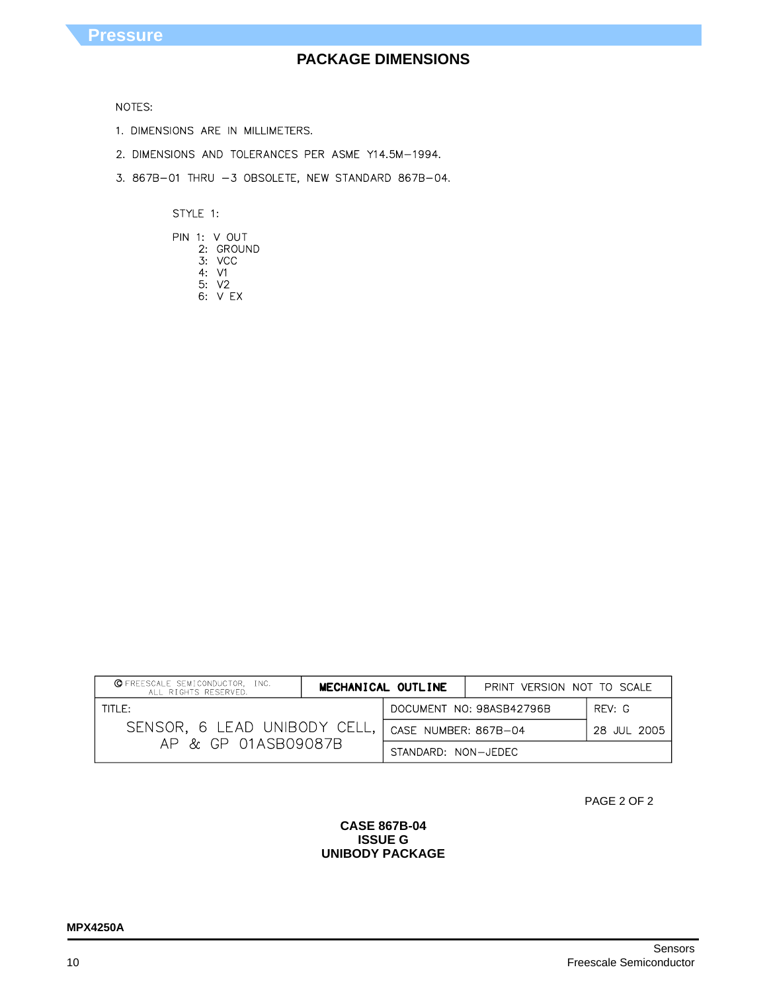### NOTES:

- 1. DIMENSIONS ARE IN MILLIMETERS.
- 2. DIMENSIONS AND TOLERANCES PER ASME Y14.5M-1994.
- 3. 867B-01 THRU -3 OBSOLETE, NEW STANDARD 867B-04.

STYLE 1:

|  | PIN 1: V OUT |
|--|--------------|
|  | 2: GROUND    |
|  | 3: VCC       |
|  | 4:V1         |
|  | 5: V2        |
|  | 6: V FX      |

| <b>OFREESCALE SEMICONDUCTOR, INC.</b><br>ALL RIGHTS RESERVED. | MECHANICAL OUTLINE                  | PRINT VERSION NOT TO SCALE |  |
|---------------------------------------------------------------|-------------------------------------|----------------------------|--|
| $TITI$ $F:$                                                   | DOCUMENT NO: 98ASB42796B<br>RFV: G  |                            |  |
| SENSOR, 6 LEAD UNIBODY CELL,                                  | CASE NUMBER: 867B-04<br>28 JUL 2005 |                            |  |
| AP & GP 01ASB09087B                                           | STANDARD: NON-JEDEC                 |                            |  |

PAGE 2 OF 2

### **CASE 867B-04 ISSUE G UNIBODY PACKAGE**

### **MPX4250A**